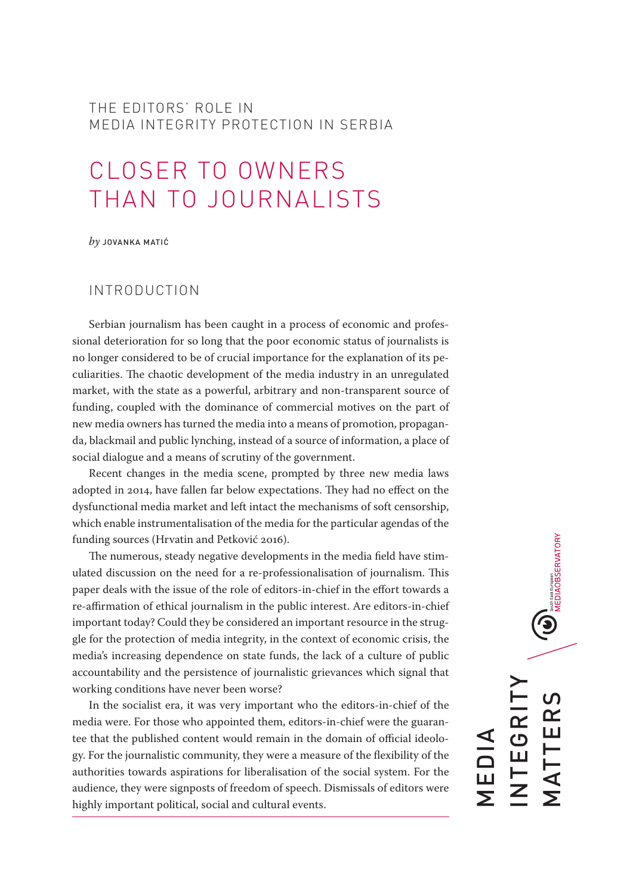#### THE EDITORS' ROLE IN MEDIA INTEGRITY PROTECTION IN SERBIA

# CLOSER TO OWNERS THAN TO JOURNALISTS

*by* JOVANKA MATIĆ

#### INTRODUCTION

Serbian journalism has been caught in a process of economic and professional deterioration for so long that the poor economic status of journalists is no longer considered to be of crucial importance for the explanation of its peculiarities. The chaotic development of the media industry in an unregulated market, with the state as a powerful, arbitrary and non-transparent source of funding, coupled with the dominance of commercial motives on the part of new media owners has turned the media into a means of promotion, propaganda, blackmail and public lynching, instead of a source of information, a place of social dialogue and a means of scrutiny of the government.

Recent changes in the media scene, prompted by three new media laws adopted in 2014, have fallen far below expectations. They had no effect on the dysfunctional media market and left intact the mechanisms of soft censorship, which enable instrumentalisation of the media for the particular agendas of the funding sources (Hrvatin and Petković 2016).

The numerous, steady negative developments in the media field have stimulated discussion on the need for a re-professionalisation of journalism. This paper deals with the issue of the role of editors-in-chief in the effort towards a re-affirmation of ethical journalism in the public interest. Are editors-in-chief important today? Could they be considered an important resource in the struggle for the protection of media integrity, in the context of economic crisis, the media's increasing dependence on state funds, the lack of a culture of public accountability and the persistence of journalistic grievances which signal that working conditions have never been worse?

In the socialist era, it was very important who the editors-in-chief of the media were. For those who appointed them, editors-in-chief were the guarantee that the published content would remain in the domain of official ideology. For the journalistic community, they were a measure of the flexibility of the authorities towards aspirations for liberalisation of the social system. For the audience, they were signposts of freedom of speech. Dismissals of editors were highly important political, social and cultural events.

 $\bigodot_{\text{same as the component} \atop \text{MEDIAOBSERVATION}}$ INTEGRITY  $\overline{C}$ MATTERS EGRI MATTER MEDIA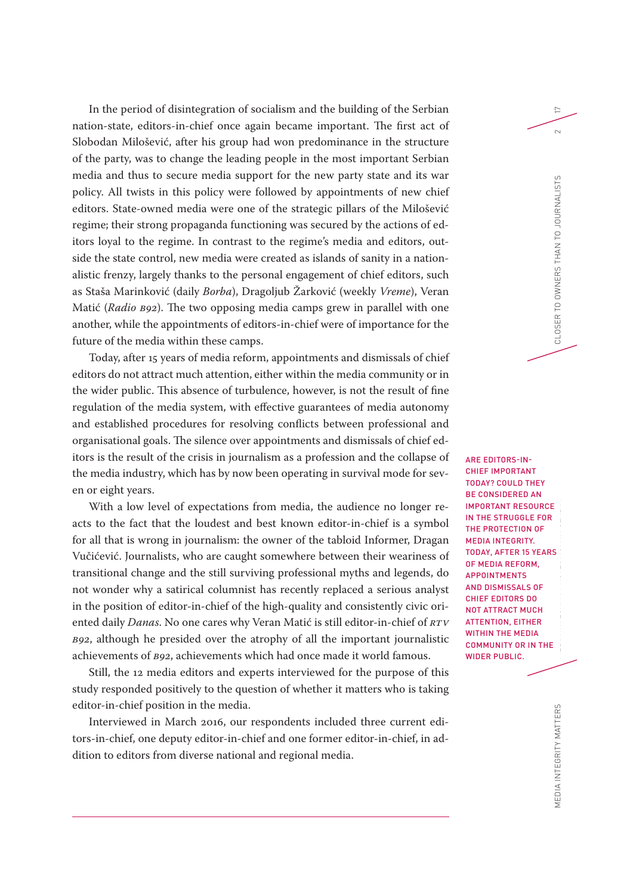In the period of disintegration of socialism and the building of the Serbian nation-state, editors-in-chief once again became important. The first act of Slobodan Milošević, after his group had won predominance in the structure of the party, was to change the leading people in the most important Serbian media and thus to secure media support for the new party state and its war policy. All twists in this policy were followed by appointments of new chief editors. State-owned media were one of the strategic pillars of the Milošević regime; their strong propaganda functioning was secured by the actions of editors loyal to the regime. In contrast to the regime's media and editors, outside the state control, new media were created as islands of sanity in a nationalistic frenzy, largely thanks to the personal engagement of chief editors, such as Staša Marinković (daily *Borba*), Dragoljub Žarković (weekly *Vreme*), Veran Matić (*Radio B92*). The two opposing media camps grew in parallel with one another, while the appointments of editors-in-chief were of importance for the future of the media within these camps.

Today, after 15 years of media reform, appointments and dismissals of chief editors do not attract much attention, either within the media community or in the wider public. This absence of turbulence, however, is not the result of fine regulation of the media system, with effective guarantees of media autonomy and established procedures for resolving conflicts between professional and organisational goals. The silence over appointments and dismissals of chief editors is the result of the crisis in journalism as a profession and the collapse of the media industry, which has by now been operating in survival mode for seven or eight years.

With a low level of expectations from media, the audience no longer reacts to the fact that the loudest and best known editor-in-chief is a symbol for all that is wrong in journalism: the owner of the tabloid Informer, Dragan Vučićević. Journalists, who are caught somewhere between their weariness of transitional change and the still surviving professional myths and legends, do not wonder why a satirical columnist has recently replaced a serious analyst in the position of editor-in-chief of the high-quality and consistently civic oriented daily *Danas*. No one cares why Veran Matić is still editor-in-chief of *RTV B92*, although he presided over the atrophy of all the important journalistic achievements of *B92*, achievements which had once made it world famous.

Still, the 12 media editors and experts interviewed for the purpose of this study responded positively to the question of whether it matters who is taking editor-in-chief position in the media.

Interviewed in March 2016, our respondents included three current editors-in-chief, one deputy editor-in-chief and one former editor-in-chief, in addition to editors from diverse national and regional media.

THE EDITORS' ROLE IN ARE EDITORS-IN-CHIEF IMPORTANT TODAY? COULD THEY BE CONSIDERED AN IMPORTANT RESOURCE IN THE STRUGGLE FOR THE PROTECTION OF MEDIA INTEGRITY. TODAY, AFTER 15 YEARS OF MEDIA REFORM, APPOINTMENTS AND DISMISSALS OF CHIEF EDITORS DO NOT ATTRACT MUCH ATTENTION, EITHER WITHIN THE MEDIA COMMUNITY OR IN THE WIDER PUBLIC.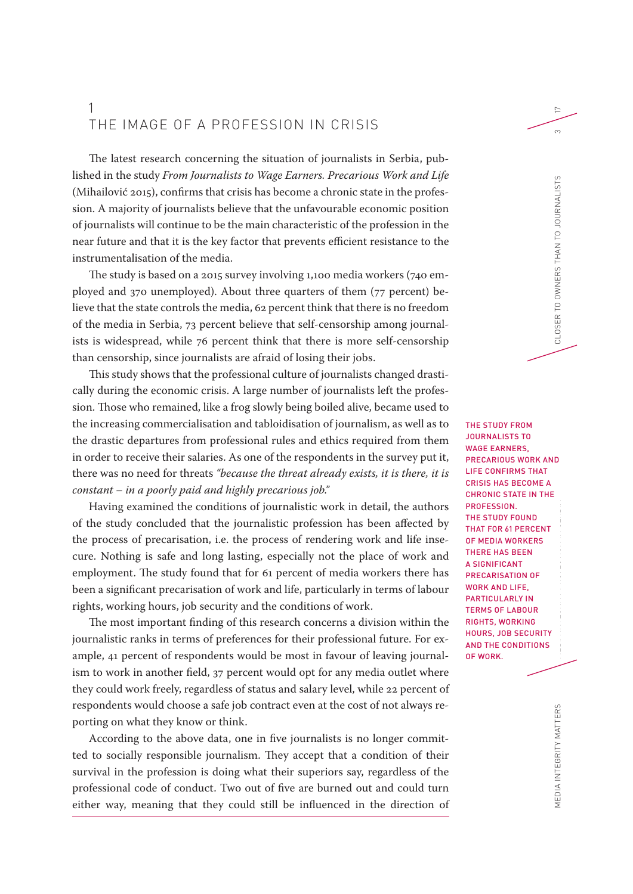#### 1 THE IMAGE OF A PROFESSION IN CRISIS

The latest research concerning the situation of journalists in Serbia, published in the study *From Journalists to Wage Earners. Precarious Work and Life*  (Mihailović 2015), confirms that crisis has become a chronic state in the profession. A majority of journalists believe that the unfavourable economic position of journalists will continue to be the main characteristic of the profession in the near future and that it is the key factor that prevents efficient resistance to the instrumentalisation of the media.

The study is based on a 2015 survey involving 1,100 media workers (740 employed and 370 unemployed). About three quarters of them (77 percent) believe that the state controls the media, 62 percent think that there is no freedom of the media in Serbia, 73 percent believe that self-censorship among journalists is widespread, while 76 percent think that there is more self-censorship than censorship, since journalists are afraid of losing their jobs.

This study shows that the professional culture of journalists changed drastically during the economic crisis. A large number of journalists left the profession. Those who remained, like a frog slowly being boiled alive, became used to the increasing commercialisation and tabloidisation of journalism, as well as to the drastic departures from professional rules and ethics required from them in order to receive their salaries. As one of the respondents in the survey put it, there was no need for threats *"because the threat already exists, it is there, it is constant – in a poorly paid and highly precarious job."*

Having examined the conditions of journalistic work in detail, the authors of the study concluded that the journalistic profession has been affected by the process of precarisation, i.e. the process of rendering work and life insecure. Nothing is safe and long lasting, especially not the place of work and employment. The study found that for 61 percent of media workers there has been a significant precarisation of work and life, particularly in terms of labour rights, working hours, job security and the conditions of work.

The most important finding of this research concerns a division within the journalistic ranks in terms of preferences for their professional future. For example, 41 percent of respondents would be most in favour of leaving journalism to work in another field, 37 percent would opt for any media outlet where they could work freely, regardless of status and salary level, while 22 percent of respondents would choose a safe job contract even at the cost of not always reporting on what they know or think.

According to the above data, one in five journalists is no longer committed to socially responsible journalism. They accept that a condition of their survival in the profession is doing what their superiors say, regardless of the professional code of conduct. Two out of five are burned out and could turn either way, meaning that they could still be influenced in the direction of

T<br>IS MEDIA INTEGRITY PROTECTION IN SERBIA CLOSER TO OWNERS THAN TO JOURNALISTS 3 THE STUDY FROM JOURNALISTS TO WAGE EARNERS, PRECARIOUS WORK AND LIFE CONFIRMS THAT CRISIS HAS BECOME A CHRONIC STATE IN THE PROFESSION. THE STUDY FOUND THAT FOR 61 PERCENT OF MEDIA WORKERS THERE HAS BEEN A SIGNIFICANT PRECARISATION OF WORK AND LIFE, PARTICULARLY IN TERMS OF LABOUR RIGHTS, WORKING HOURS, JOB SECURITY AND THE CONDITIONS OF WORK.

17

 $\infty$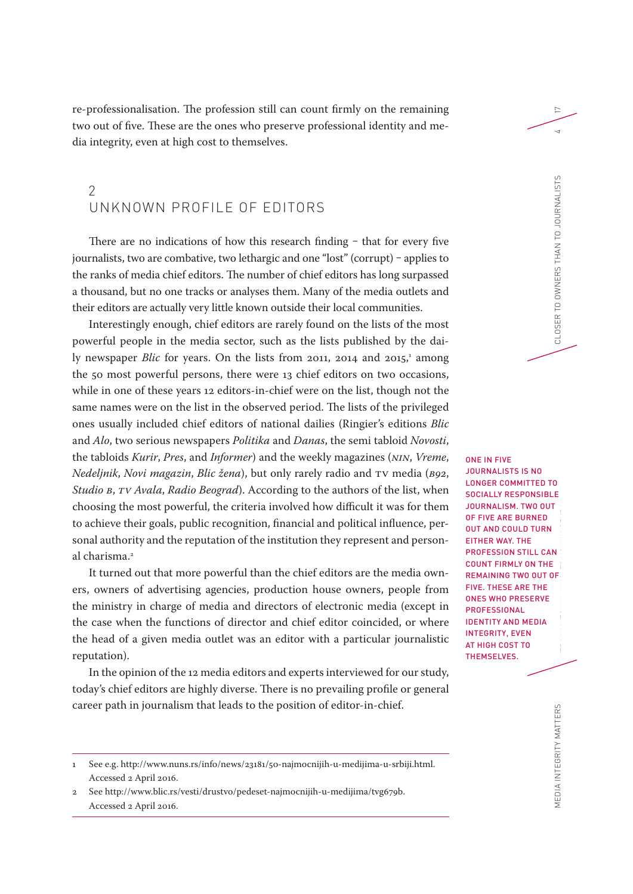re-professionalisation. The profession still can count firmly on the remaining two out of five. These are the ones who preserve professional identity and media integrity, even at high cost to themselves.

#### $\mathcal{P}$ UNKNOWN PROFILE OF EDITORS

There are no indications of how this research finding  $-$  that for every five journalists, two are combative, two lethargic and one "lost" (corrupt) - applies to the ranks of media chief editors. The number of chief editors has long surpassed a thousand, but no one tracks or analyses them. Many of the media outlets and their editors are actually very little known outside their local communities.

Interestingly enough, chief editors are rarely found on the lists of the most powerful people in the media sector, such as the lists published by the daily newspaper *Blic* for years. On the lists from 2011, 2014 and 2015,<sup>1</sup> among the 50 most powerful persons, there were 13 chief editors on two occasions, while in one of these years 12 editors-in-chief were on the list, though not the same names were on the list in the observed period. The lists of the privileged ones usually included chief editors of national dailies (Ringier's editions *Blic* and *Alo*, two serious newspapers *Politika* and *Danas*, the semi tabloid *Novosti*, the tabloids *Kurir*, *Pres*, and *Informer*) and the weekly magazines (*NIN*, *Vreme*, *Nedeljnik*, *Novi magazin*, *Blic žena*), but only rarely radio and TV media (*B92*, *Studio B*, *TV Avala*, *Radio Beograd*). According to the authors of the list, when choosing the most powerful, the criteria involved how difficult it was for them to achieve their goals, public recognition, financial and political influence, personal authority and the reputation of the institution they represent and personal charisma.<sup>2</sup>

It turned out that more powerful than the chief editors are the media owners, owners of advertising agencies, production house owners, people from the ministry in charge of media and directors of electronic media (except in the case when the functions of director and chief editor coincided, or where the head of a given media outlet was an editor with a particular journalistic reputation).

In the opinion of the 12 media editors and experts interviewed for our study, today's chief editors are highly diverse. There is no prevailing profile or general career path in journalism that leads to the position of editor-in-chief.

TE/E<br>A ONE IN FIVE JOURNALISTS IS NO LONGER COMMITTED TO SOCIALLY RESPONSIBLE JOURNALISM. TWO OUT OF FIVE ARE BURNED OUT AND COULD TURN EITHER WAY. THE PROFESSION STILL CAN COUNT FIRMLY ON THE REMAINING TWO OUT OF FIVE. THESE ARE THE ONES WHO PRESERVE PROFESSIONAL IDENTITY AND MEDIA INTEGRITY, EVEN AT HIGH COST TO THEMSELVES.

MEDIA INTEGRITY MATTERS

<sup>1</sup> See e.g. <http://www.nuns.rs/info/news/23181/50-najmocnijih-u-medijima-u-srbiji.html>. Accessed 2 April 2016.

<sup>2</sup> See <http://www.blic.rs/vesti/drustvo/pedeset-najmocnijih-u-medijima/tvg679b>. Accessed 2 April 2016.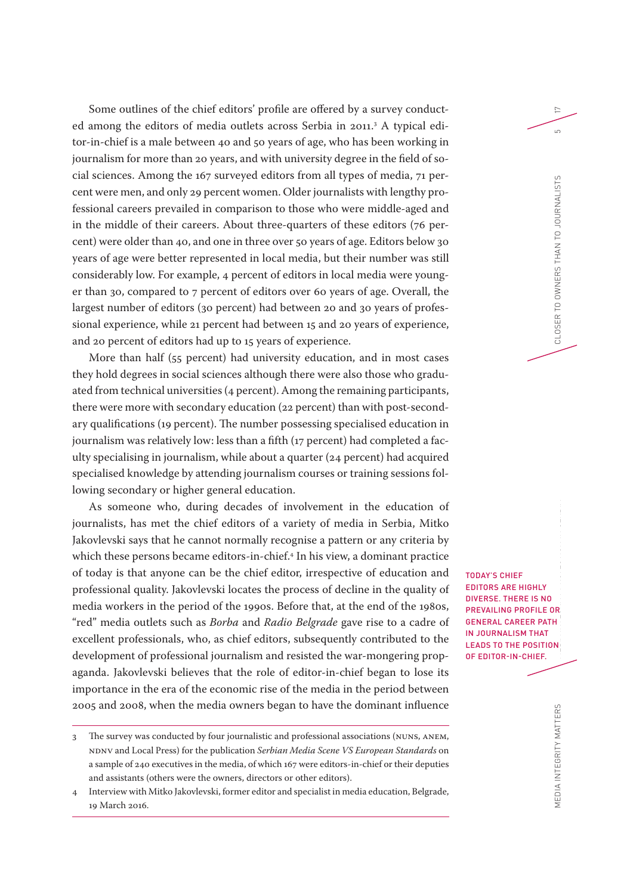Some outlines of the chief editors' profile are offered by a survey conducted among the editors of media outlets across Serbia in 2011.<sup>3</sup> A typical editor-in-chief is a male between 40 and 50 years of age, who has been working in journalism for more than 20 years, and with university degree in the field of social sciences. Among the 167 surveyed editors from all types of media, 71 percent were men, and only 29 percent women. Older journalists with lengthy professional careers prevailed in comparison to those who were middle-aged and in the middle of their careers. About three-quarters of these editors (76 percent) were older than 40, and one in three over 50 years of age. Editors below 30 years of age were better represented in local media, but their number was still considerably low. For example, 4 percent of editors in local media were younger than 30, compared to 7 percent of editors over 60 years of age. Overall, the largest number of editors (30 percent) had between 20 and 30 years of professional experience, while 21 percent had between 15 and 20 years of experience, and 20 percent of editors had up to 15 years of experience.

More than half (55 percent) had university education, and in most cases they hold degrees in social sciences although there were also those who graduated from technical universities (4 percent). Among the remaining participants, there were more with secondary education (22 percent) than with post-secondary qualifications (19 percent). The number possessing specialised education in journalism was relatively low: less than a fifth (17 percent) had completed a faculty specialising in journalism, while about a quarter (24 percent) had acquired specialised knowledge by attending journalism courses or training sessions following secondary or higher general education.

As someone who, during decades of involvement in the education of journalists, has met the chief editors of a variety of media in Serbia, Mitko Jakovlevski says that he cannot normally recognise a pattern or any criteria by which these persons became editors-in-chief.4 In his view, a dominant practice of today is that anyone can be the chief editor, irrespective of education and professional quality. Jakovlevski locates the process of decline in the quality of media workers in the period of the 1990s. Before that, at the end of the 1980s, "red" media outlets such as *Borba* and *Radio Belgrade* gave rise to a cadre of excellent professionals, who, as chief editors, subsequently contributed to the development of professional journalism and resisted the war-mongering propaganda. Jakovlevski believes that the role of editor-in-chief began to lose its importance in the era of the economic rise of the media in the period between 2005 and 2008, when the media owners began to have the dominant influence

Y<br>V(E)<br>F, T<br>F, TODAY'S CHIEF EDITORS ARE HIGHLY DIVERSE. THERE IS NO PREVAILING PROFILE OR GENERAL CAREER PATH IN JOURNALISM THAT LEADS TO THE POSITION OF EDITOR-IN-CHIEF.

<sup>3</sup> The survey was conducted by four journalistic and professional associations (NUNS, ANEM, NDNV and Local Press) for the publication *Serbian Media Scene VS European Standards* on a sample of 240 executives in the media, of which 167 were editors-in-chief or their deputies and assistants (others were the owners, directors or other editors).

<sup>4</sup> Interview with Mitko Jakovlevski, former editor and specialist in media education, Belgrade, 19 March 2016.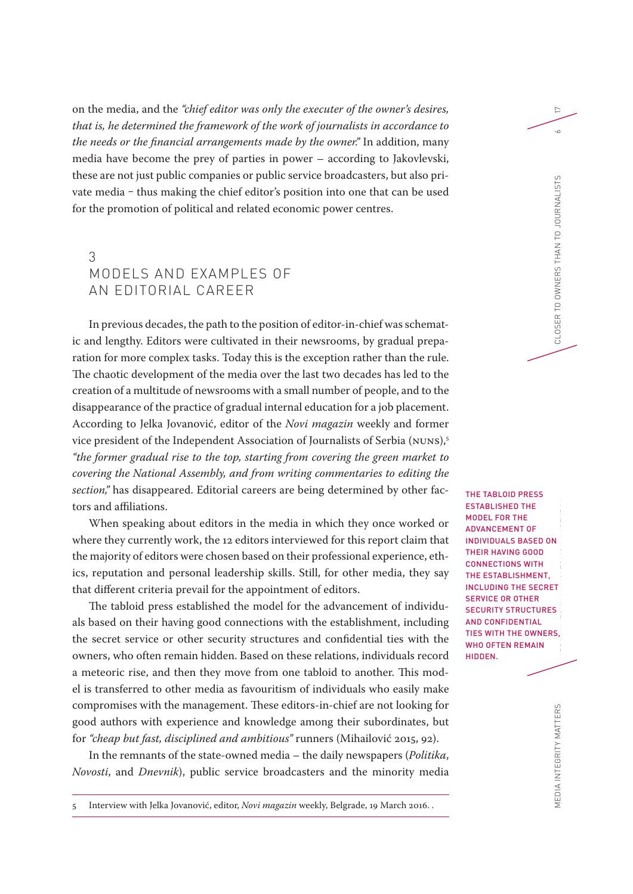on the media, and the *"chief editor was only the executer of the owner's desires, that is, he determined the framework of the work of journalists in accordance to the needs or the financial arrangements made by the owner."* In addition, many media have become the prey of parties in power – according to Jakovlevski, these are not just public companies or public service broadcasters, but also private media – thus making the chief editor's position into one that can be used for the promotion of political and related economic power centres.

#### 3 MODELS AND EXAMPLES OF AN EDITORIAL CAREER

In previous decades, the path to the position of editor-in-chief was schematic and lengthy. Editors were cultivated in their newsrooms, by gradual preparation for more complex tasks. Today this is the exception rather than the rule. The chaotic development of the media over the last two decades has led to the creation of a multitude of newsrooms with a small number of people, and to the disappearance of the practice of gradual internal education for a job placement. According to Jelka Jovanović, editor of the *Novi magazin* weekly and former vice president of the Independent Association of Journalists of Serbia (NUNS),<sup>5</sup> *"the former gradual rise to the top, starting from covering the green market to covering the National Assembly, and from writing commentaries to editing the section,"* has disappeared. Editorial careers are being determined by other factors and affiliations.

When speaking about editors in the media in which they once worked or where they currently work, the 12 editors interviewed for this report claim that the majority of editors were chosen based on their professional experience, ethics, reputation and personal leadership skills. Still, for other media, they say that different criteria prevail for the appointment of editors.

The tabloid press established the model for the advancement of individuals based on their having good connections with the establishment, including the secret service or other security structures and confidential ties with the owners, who often remain hidden. Based on these relations, individuals record a meteoric rise, and then they move from one tabloid to another. This model is transferred to other media as favouritism of individuals who easily make compromises with the management. These editors-in-chief are not looking for good authors with experience and knowledge among their subordinates, but for *"cheap but fast, disciplined and ambitious"* runners (Mihailović 2015, 92).

In the remnants of the state-owned media – the daily newspapers (*Politika*, *Novosti*, and *Dnevnik*), public service broadcasters and the minority media

T<br>RI<br>EDIT MEDIA INTEGRITY PROTECTION IN SERBIA CLOSER TO OWNERS THAN TO JOURNALISTS 6 ESTABLISHED THE MODEL FOR THE ADVANCEMENT OF INDIVIDUALS BASED ON THEIR HAVING GOOD CONNECTIONS WITH THE ESTABLISHMENT, INCLUDING THE SECRET SERVICE OR OTHER SECURITY STRUCTURES AND CONFIDENTIAL TIES WITH THE OWNERS, WHO OFTEN REMAIN HIDDEN.

THE TABLOID PRESS

17

 $\sim$ 

<sup>5</sup> Interview with Jelka Jovanović, editor, *Novi magazin* weekly, Belgrade, 19 March 2016. .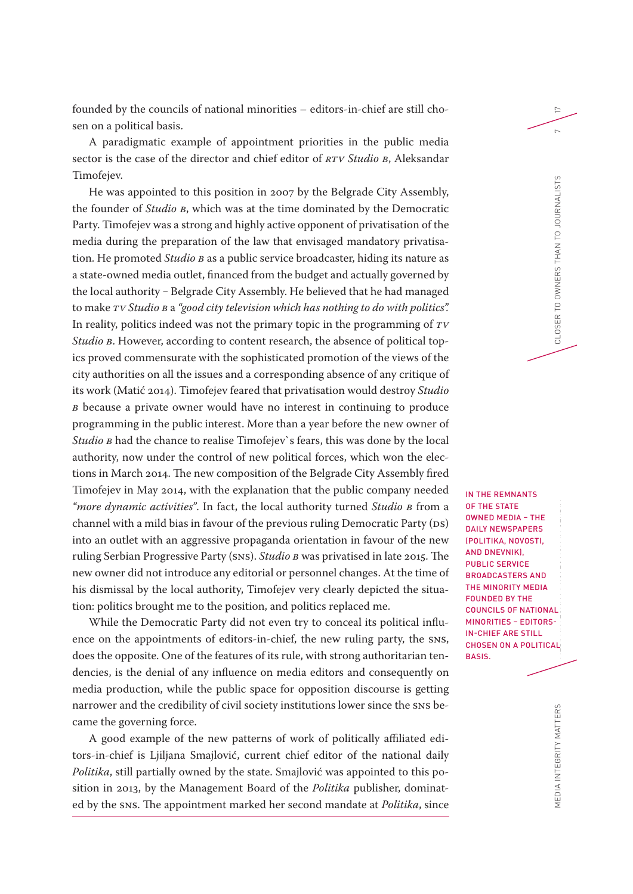founded by the councils of national minorities – editors-in-chief are still chosen on a political basis.

A paradigmatic example of appointment priorities in the public media sector is the case of the director and chief editor of *RTV Studio B*, Aleksandar Timofejev.

He was appointed to this position in 2007 by the Belgrade City Assembly, the founder of *Studio B*, which was at the time dominated by the Democratic Party. Timofejev was a strong and highly active opponent of privatisation of the media during the preparation of the law that envisaged mandatory privatisation. He promoted *Studio B* as a public service broadcaster, hiding its nature as a state-owned media outlet, financed from the budget and actually governed by the local authority - Belgrade City Assembly. He believed that he had managed to make *TV Studio B* a *"good city television which has nothing to do with politics".* In reality, politics indeed was not the primary topic in the programming of *TV Studio B*. However, according to content research, the absence of political topics proved commensurate with the sophisticated promotion of the views of the city authorities on all the issues and a corresponding absence of any critique of its work (Matić 2014). Timofejev feared that privatisation would destroy *Studio B* because a private owner would have no interest in continuing to produce programming in the public interest. More than a year before the new owner of *Studio B* had the chance to realise Timofejev`s fears, this was done by the local authority, now under the control of new political forces, which won the elections in March 2014. The new composition of the Belgrade City Assembly fired Timofejev in May 2014, with the explanation that the public company needed *"more dynamic activities"*. In fact, the local authority turned *Studio B* from a channel with a mild bias in favour of the previous ruling Democratic Party (DS) into an outlet with an aggressive propaganda orientation in favour of the new ruling Serbian Progressive Party (SNS). *Studio B* was privatised in late 2015. The new owner did not introduce any editorial or personnel changes. At the time of his dismissal by the local authority, Timofejev very clearly depicted the situation: politics brought me to the position, and politics replaced me.

While the Democratic Party did not even try to conceal its political influence on the appointments of editors-in-chief, the new ruling party, the SNS, does the opposite. One of the features of its rule, with strong authoritarian tendencies, is the denial of any influence on media editors and consequently on media production, while the public space for opposition discourse is getting narrower and the credibility of civil society institutions lower since the SNS became the governing force.

A good example of the new patterns of work of politically affiliated editors-in-chief is Ljiljana Smajlović, current chief editor of the national daily *Politika*, still partially owned by the state. Smajlović was appointed to this position in 2013, by the Management Board of the *Politika* publisher, dominated by the SNS. The appointment marked her second mandate at *Politika*, since

כ<br>A N<br>IC IN THE REMNANTS OF THE STATE OWNED MEDIA – THE DAILY NEWSPAPERS (POLITIKA, NOVOSTI, AND DNEVNIK), PUBLIC SERVICE BROADCASTERS AND THE MINORITY MEDIA FOUNDED BY THE COUNCILS OF NATIONAL MINORITIES – EDITORS-IN-CHIEF ARE STILL CHOSEN ON A POLITICAL BASIS.

17

MEDIA INTEGRITY MATTERS MEDIA INTEGRITY MATTERS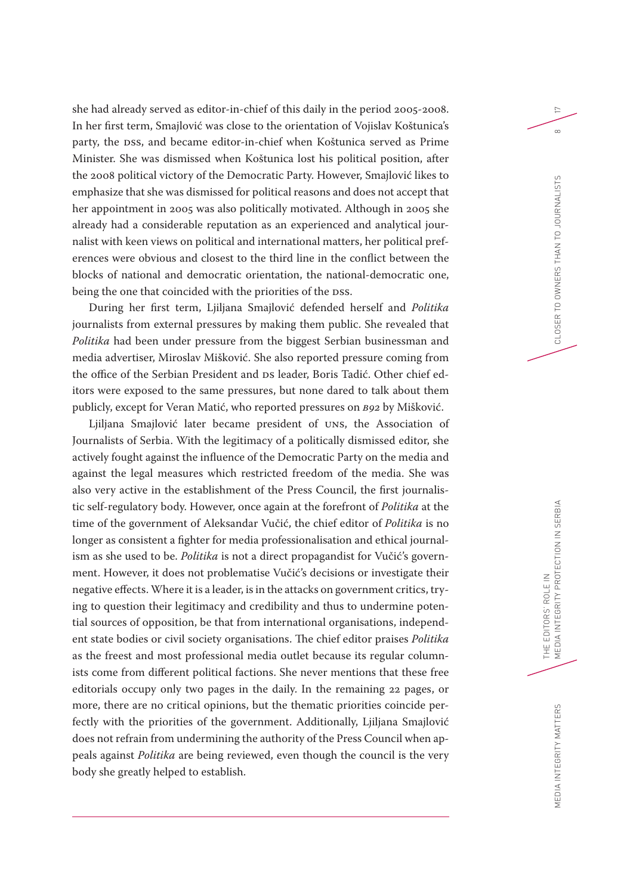she had already served as editor-in-chief of this daily in the period 2005-2008. In her first term, Smajlović was close to the orientation of Vojislav Koštunica's party, the DSS, and became editor-in-chief when Koštunica served as Prime Minister. She was dismissed when Koštunica lost his political position, after the 2008 political victory of the Democratic Party. However, Smajlović likes to emphasize that she was dismissed for political reasons and does not accept that her appointment in 2005 was also politically motivated. Although in 2005 she already had a considerable reputation as an experienced and analytical journalist with keen views on political and international matters, her political preferences were obvious and closest to the third line in the conflict between the blocks of national and democratic orientation, the national-democratic one, being the one that coincided with the priorities of the DSS.

During her first term, Ljiljana Smajlović defended herself and *Politika* journalists from external pressures by making them public. She revealed that *Politika* had been under pressure from the biggest Serbian businessman and media advertiser, Miroslav Mišković. She also reported pressure coming from the office of the Serbian President and DS leader, Boris Tadić. Other chief editors were exposed to the same pressures, but none dared to talk about them publicly, except for Veran Matić, who reported pressures on *B92* by Mišković.

Ljiljana Smajlović later became president of UNS, the Association of Journalists of Serbia. With the legitimacy of a politically dismissed editor, she actively fought against the influence of the Democratic Party on the media and against the legal measures which restricted freedom of the media. She was also very active in the establishment of the Press Council, the first journalistic self-regulatory body. However, once again at the forefront of *Politika* at the time of the government of Aleksandar Vučić, the chief editor of *Politika* is no longer as consistent a fighter for media professionalisation and ethical journalism as she used to be. *Politika* is not a direct propagandist for Vučić's government. However, it does not problematise Vučić's decisions or investigate their negative effects. Where it is a leader, is in the attacks on government critics, trying to question their legitimacy and credibility and thus to undermine potential sources of opposition, be that from international organisations, independent state bodies or civil society organisations. The chief editor praises *Politika* as the freest and most professional media outlet because its regular columnists come from different political factions. She never mentions that these free editorials occupy only two pages in the daily. In the remaining 22 pages, or more, there are no critical opinions, but the thematic priorities coincide perfectly with the priorities of the government. Additionally, Ljiljana Smajlović does not refrain from undermining the authority of the Press Council when appeals against *Politika* are being reviewed, even though the council is the very body she greatly helped to establish.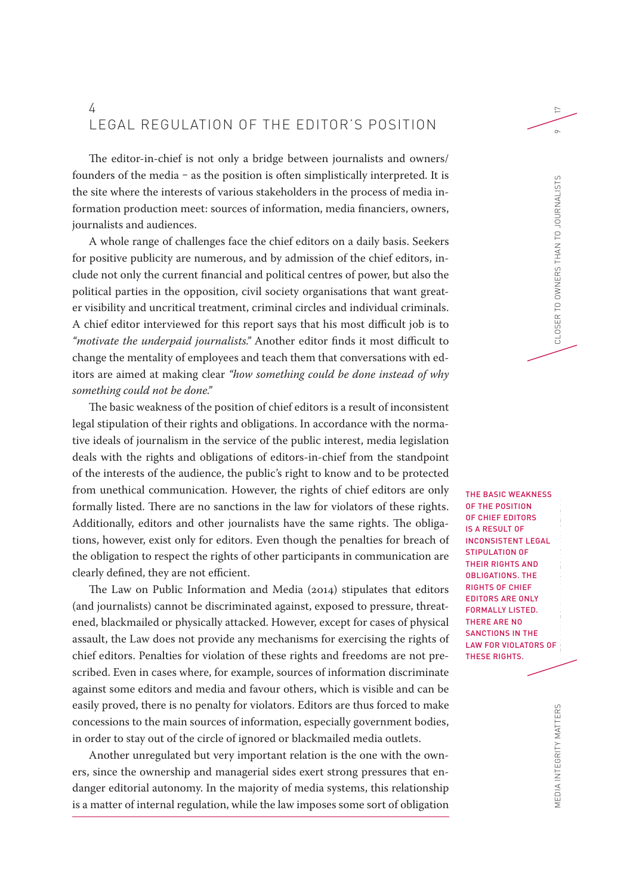#### 4 LEGAL REGULATION OF THE EDITOR'S POSITION

The editor-in-chief is not only a bridge between journalists and owners/ founders of the media ‒ as the position is often simplistically interpreted. It is the site where the interests of various stakeholders in the process of media information production meet: sources of information, media financiers, owners, journalists and audiences.

A whole range of challenges face the chief editors on a daily basis. Seekers for positive publicity are numerous, and by admission of the chief editors, include not only the current financial and political centres of power, but also the political parties in the opposition, civil society organisations that want greater visibility and uncritical treatment, criminal circles and individual criminals. A chief editor interviewed for this report says that his most difficult job is to *"motivate the underpaid journalists."* Another editor finds it most difficult to change the mentality of employees and teach them that conversations with editors are aimed at making clear *"how something could be done instead of why something could not be done."*

The basic weakness of the position of chief editors is a result of inconsistent legal stipulation of their rights and obligations. In accordance with the normative ideals of journalism in the service of the public interest, media legislation deals with the rights and obligations of editors-in-chief from the standpoint of the interests of the audience, the public's right to know and to be protected from unethical communication. However, the rights of chief editors are only formally listed. There are no sanctions in the law for violators of these rights. Additionally, editors and other journalists have the same rights. The obligations, however, exist only for editors. Even though the penalties for breach of the obligation to respect the rights of other participants in communication are clearly defined, they are not efficient.

The Law on Public Information and Media (2014) stipulates that editors (and journalists) cannot be discriminated against, exposed to pressure, threatened, blackmailed or physically attacked. However, except for cases of physical assault, the Law does not provide any mechanisms for exercising the rights of chief editors. Penalties for violation of these rights and freedoms are not prescribed. Even in cases where, for example, sources of information discriminate against some editors and media and favour others, which is visible and can be easily proved, there is no penalty for violators. Editors are thus forced to make concessions to the main sources of information, especially government bodies, in order to stay out of the circle of ignored or blackmailed media outlets.

Another unregulated but very important relation is the one with the owners, since the ownership and managerial sides exert strong pressures that endanger editorial autonomy. In the majority of media systems, this relationship is a matter of internal regulation, while the law imposes some sort of obligation OF THE POSITION OF CHIEF EDITORS IS A RESULT OF INCONSISTENT LEGAL STIPULATION OF THEIR RIGHTS AND OBLIGATIONS. THE RIGHTS OF CHIEF EDITORS ARE ONLY FORMALLY LISTED. THERE ARE NO SANCTIONS IN THE LAW FOR VIOLATORS OF THESE RIGHTS.

17

THE EDITORS' ROLE IN THE BASIC WEAKNESS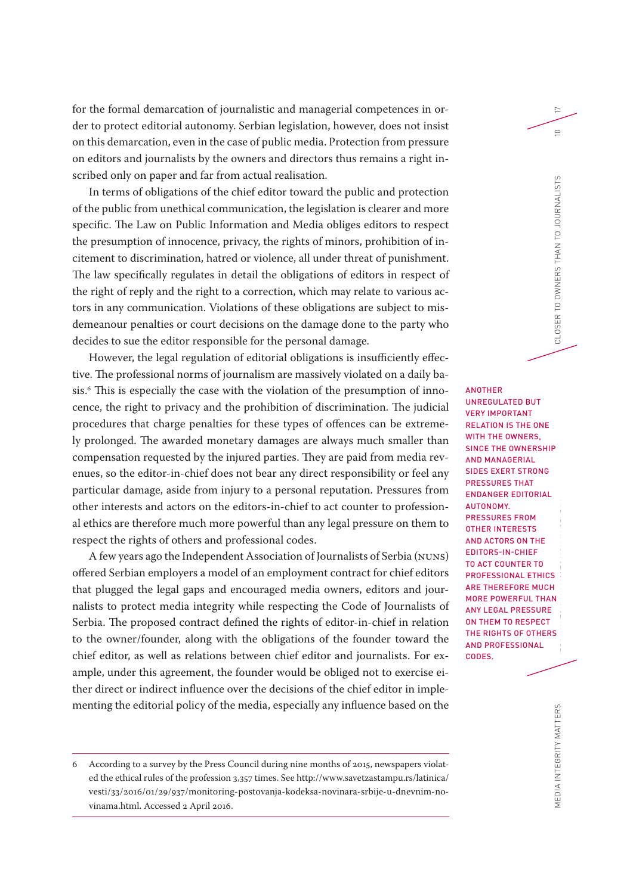for the formal demarcation of journalistic and managerial competences in order to protect editorial autonomy. Serbian legislation, however, does not insist on this demarcation, even in the case of public media. Protection from pressure on editors and journalists by the owners and directors thus remains a right inscribed only on paper and far from actual realisation.

In terms of obligations of the chief editor toward the public and protection of the public from unethical communication, the legislation is clearer and more specific. The Law on Public Information and Media obliges editors to respect the presumption of innocence, privacy, the rights of minors, prohibition of incitement to discrimination, hatred or violence, all under threat of punishment. The law specifically regulates in detail the obligations of editors in respect of the right of reply and the right to a correction, which may relate to various actors in any communication. Violations of these obligations are subject to misdemeanour penalties or court decisions on the damage done to the party who decides to sue the editor responsible for the personal damage.

However, the legal regulation of editorial obligations is insufficiently effective. The professional norms of journalism are massively violated on a daily basis.6 This is especially the case with the violation of the presumption of innocence, the right to privacy and the prohibition of discrimination. The judicial procedures that charge penalties for these types of offences can be extremely prolonged. The awarded monetary damages are always much smaller than compensation requested by the injured parties. They are paid from media revenues, so the editor-in-chief does not bear any direct responsibility or feel any particular damage, aside from injury to a personal reputation. Pressures from other interests and actors on the editors-in-chief to act counter to professional ethics are therefore much more powerful than any legal pressure on them to respect the rights of others and professional codes.

A few years ago the Independent Association of Journalists of Serbia (NUNS) offered Serbian employers a model of an employment contract for chief editors that plugged the legal gaps and encouraged media owners, editors and journalists to protect media integrity while respecting the Code of Journalists of Serbia. The proposed contract defined the rights of editor-in-chief in relation to the owner/founder, along with the obligations of the founder toward the chief editor, as well as relations between chief editor and journalists. For example, under this agreement, the founder would be obliged not to exercise either direct or indirect influence over the decisions of the chief editor in implementing the editorial policy of the media, especially any influence based on the

THE EDITORS' ROLE INC.<br>The Editors MEDIA INTEGRITHAN IN SERBITY PROVINCER TO OWNERS THAN TO JOURNALISTS IN SERIES IN SERVICE OWNERS THAN TO JOURNALISTS IN SERIES IN SERIES IN SERIES IN SERIES IN SERIES IN SERIES IN SERIES IN SERIES IN SERIES IN SERIES IN SE ANOTHER UNREGULATED BUT VERY IMPORTANT RELATION IS THE ONE WITH THE OWNERS, SINCE THE OWNERSHIP AND MANAGERIAL SIDES EXERT STRONG PRESSURES THAT ENDANGER EDITORIAL AUTONOMY. PRESSURES FROM OTHER INTERESTS AND ACTORS ON THE EDITORS-IN-CHIEF TO ACT COUNTER TO PROFESSIONAL ETHICS ARE THEREFORE MUCH MORE POWERFUL THAN ANY LEGAL PRESSURE ON THEM TO RESPECT THE RIGHTS OF OTHERS AND PROFESSIONAL CODES.

17

 $\supseteq$ 

<sup>6</sup> According to a survey by the Press Council during nine months of 2015, newspapers violated the ethical rules of the profession 3,357 times. See [http://www.savetzastampu.rs/latinica/](http://www.savetzastampu.rs/latinica/vesti/33/2016/01/29/937/monitoring-postovanja-kodeksa-novinara-srbije-u-dnevnim-novinama.html) [vesti/33/2016/01/29/937/monitoring-postovanja-kodeksa-novinara-srbije-u-dnevnim-no](http://www.savetzastampu.rs/latinica/vesti/33/2016/01/29/937/monitoring-postovanja-kodeksa-novinara-srbije-u-dnevnim-novinama.html)[vinama.html](http://www.savetzastampu.rs/latinica/vesti/33/2016/01/29/937/monitoring-postovanja-kodeksa-novinara-srbije-u-dnevnim-novinama.html). Accessed 2 April 2016.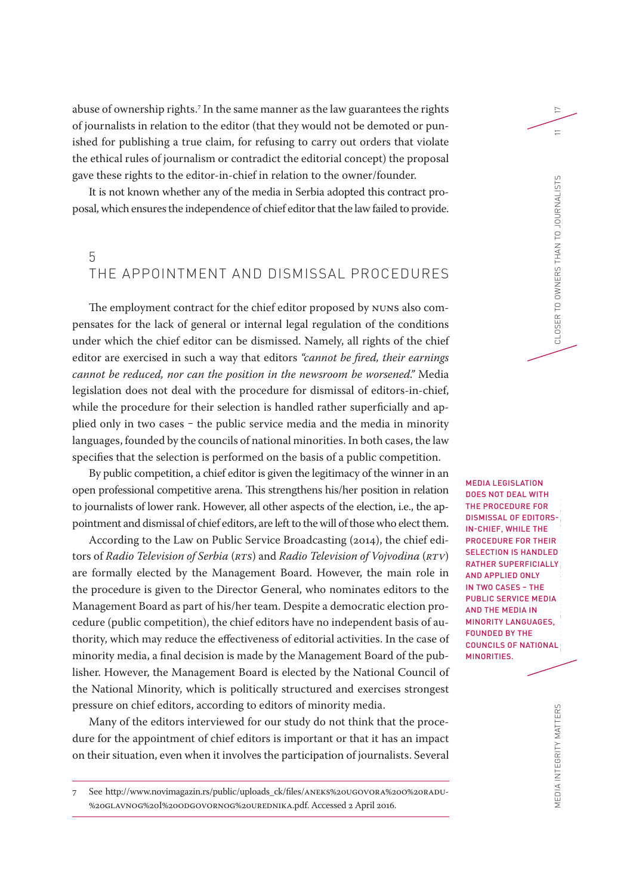abuse of ownership rights. 7 In the same manner as the law guarantees the rights of journalists in relation to the editor (that they would not be demoted or punished for publishing a true claim, for refusing to carry out orders that violate the ethical rules of journalism or contradict the editorial concept) the proposal gave these rights to the editor-in-chief in relation to the owner/founder.

It is not known whether any of the media in Serbia adopted this contract proposal, which ensures the independence of chief editor that the law failed to provide.

#### 5 THE APPOINTMENT AND DISMISSAL PROCEDURES

The employment contract for the chief editor proposed by NUNS also compensates for the lack of general or internal legal regulation of the conditions under which the chief editor can be dismissed. Namely, all rights of the chief editor are exercised in such a way that editors *"cannot be fired, their earnings cannot be reduced, nor can the position in the newsroom be worsened."* Media legislation does not deal with the procedure for dismissal of editors-in-chief, while the procedure for their selection is handled rather superficially and applied only in two cases - the public service media and the media in minority languages, founded by the councils of national minorities. In both cases, the law specifies that the selection is performed on the basis of a public competition.

By public competition, a chief editor is given the legitimacy of the winner in an open professional competitive arena. This strengthens his/her position in relation to journalists of lower rank. However, all other aspects of the election, i.e., the appointment and dismissal of chief editors, are left to the will of those who elect them.

According to the Law on Public Service Broadcasting (2014), the chief editors of *Radio Television of Serbia* (*RTS*) and *Radio Television of Vojvodina* (*RTV*) are formally elected by the Management Board. However, the main role in the procedure is given to the Director General, who nominates editors to the Management Board as part of his/her team. Despite a democratic election procedure (public competition), the chief editors have no independent basis of authority, which may reduce the effectiveness of editorial activities. In the case of minority media, a final decision is made by the Management Board of the publisher. However, the Management Board is elected by the National Council of the National Minority, which is politically structured and exercises strongest pressure on chief editors, according to editors of minority media.

Many of the editors interviewed for our study do not think that the procedure for the appointment of chief editors is important or that it has an impact on their situation, even when it involves the participation of journalists. Several

THE EDITORS' ROLE IN MEDIA LEGISLATION DOES NOT DEAL WITH THE PROCEDURE FOR DISMISSAL OF EDITORS-IN-CHIEF, WHILE THE PROCEDURE FOR THEIR SELECTION IS HANDLED RATHER SUPERFICIALLY AND APPLIED ONLY IN TWO CASES – THE PUBLIC SERVICE MEDIA AND THE MEDIA IN MINORITY LANGUAGES, FOUNDED BY THE COUNCILS OF NATIONAL MINORITIES.

<sup>7</sup> See [http://www.novimagazin.rs/public/uploads\\_ck/files/ANEKS%20UGOVORA%20O%20RADU-](http://www.novimagazin.rs/public/uploads_ck/files/ANEKS%20UGOVORA%20O%20RADU%20GLAVNOG%20I%20ODGOVORNOG%20UREDNIKA.pdf) [%20GLAVNOG%20I%20ODGOVORNOG%20UREDNIKA.pdf.](http://www.novimagazin.rs/public/uploads_ck/files/ANEKS%20UGOVORA%20O%20RADU%20GLAVNOG%20I%20ODGOVORNOG%20UREDNIKA.pdf) Accessed 2 April 2016.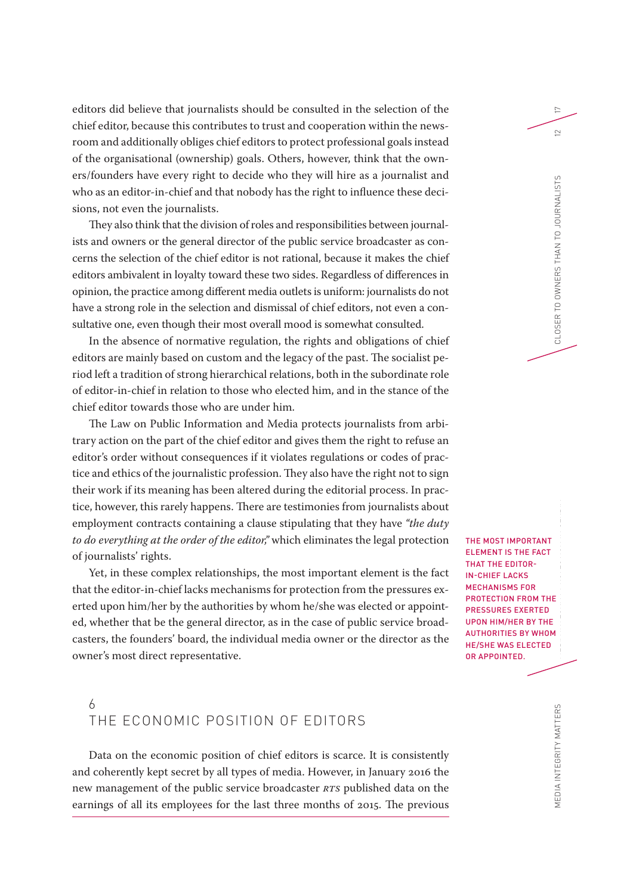editors did believe that journalists should be consulted in the selection of the chief editor, because this contributes to trust and cooperation within the newsroom and additionally obliges chief editors to protect professional goals instead of the organisational (ownership) goals. Others, however, think that the owners/founders have every right to decide who they will hire as a journalist and who as an editor-in-chief and that nobody has the right to influence these decisions, not even the journalists.

They also think that the division of roles and responsibilities between journalists and owners or the general director of the public service broadcaster as concerns the selection of the chief editor is not rational, because it makes the chief editors ambivalent in loyalty toward these two sides. Regardless of differences in opinion, the practice among different media outlets is uniform: journalists do not have a strong role in the selection and dismissal of chief editors, not even a consultative one, even though their most overall mood is somewhat consulted.

In the absence of normative regulation, the rights and obligations of chief editors are mainly based on custom and the legacy of the past. The socialist period left a tradition of strong hierarchical relations, both in the subordinate role of editor-in-chief in relation to those who elected him, and in the stance of the chief editor towards those who are under him.

The Law on Public Information and Media protects journalists from arbitrary action on the part of the chief editor and gives them the right to refuse an editor's order without consequences if it violates regulations or codes of practice and ethics of the journalistic profession. They also have the right not to sign their work if its meaning has been altered during the editorial process. In practice, however, this rarely happens. There are testimonies from journalists about employment contracts containing a clause stipulating that they have *"the duty to do everything at the order of the editor,"* which eliminates the legal protection of journalists' rights.

Yet, in these complex relationships, the most important element is the fact that the editor-in-chief lacks mechanisms for protection from the pressures exerted upon him/her by the authorities by whom he/she was elected or appointed, whether that be the general director, as in the case of public service broadcasters, the founders' board, the individual media owner or the director as the owner's most direct representative.

### 6 THE ECONOMIC POSITION OF EDITORS

Data on the economic position of chief editors is scarce. It is consistently and coherently kept secret by all types of media. However, in January 2016 the new management of the public service broadcaster *RTS* published data on the earnings of all its employees for the last three months of 2015. The previous

THE EDITORS<br>EDITORS THE MOST IMPORTANT ELEMENT IS THE FACT THAT THE EDITOR-IN-CHIEF LACKS MECHANISMS FOR PROTECTION FROM THE PRESSURES EXERTED UPON HIM/HER BY THE AUTHORITIES BY WHOM HE/SHE WAS ELECTED OR APPOINTED.

17

MEDIA INTEGRITY MATTERS MEDIA INTEGRITY MATTERS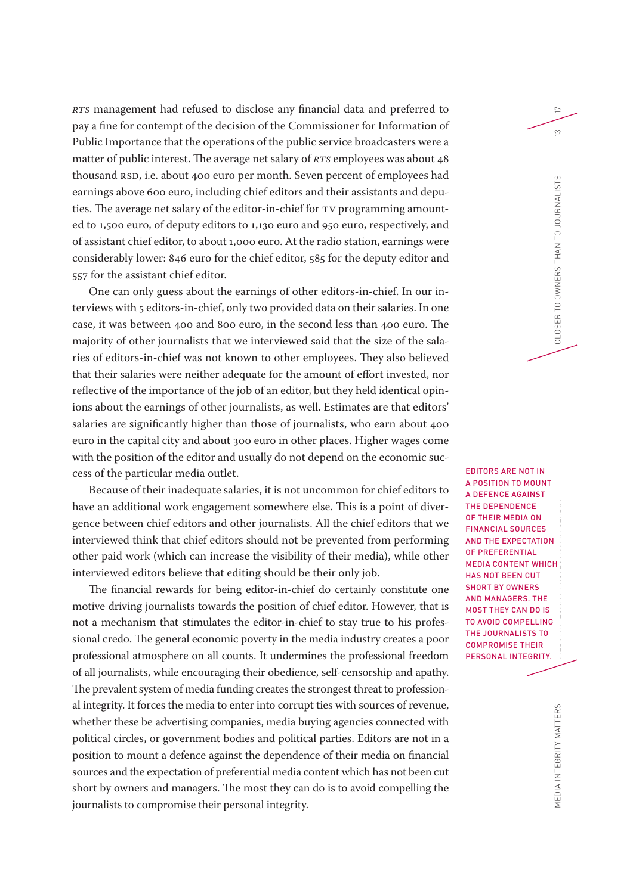*RTS* management had refused to disclose any financial data and preferred to pay a fine for contempt of the decision of the Commissioner for Information of Public Importance that the operations of the public service broadcasters were a matter of public interest. The average net salary of *RTS* employees was about 48 thousand RSD, i.e. about 400 euro per month. Seven percent of employees had earnings above 600 euro, including chief editors and their assistants and deputies. The average net salary of the editor-in-chief for TV programming amounted to 1,500 euro, of deputy editors to 1,130 euro and 950 euro, respectively, and of assistant chief editor, to about 1,000 euro. At the radio station, earnings were considerably lower: 846 euro for the chief editor, 585 for the deputy editor and 557 for the assistant chief editor.

One can only guess about the earnings of other editors-in-chief. In our interviews with 5 editors-in-chief, only two provided data on their salaries. In one case, it was between 400 and 800 euro, in the second less than 400 euro. The majority of other journalists that we interviewed said that the size of the salaries of editors-in-chief was not known to other employees. They also believed that their salaries were neither adequate for the amount of effort invested, nor reflective of the importance of the job of an editor, but they held identical opinions about the earnings of other journalists, as well. Estimates are that editors' salaries are significantly higher than those of journalists, who earn about 400 euro in the capital city and about 300 euro in other places. Higher wages come with the position of the editor and usually do not depend on the economic success of the particular media outlet.

Because of their inadequate salaries, it is not uncommon for chief editors to have an additional work engagement somewhere else. This is a point of divergence between chief editors and other journalists. All the chief editors that we interviewed think that chief editors should not be prevented from performing other paid work (which can increase the visibility of their media), while other interviewed editors believe that editing should be their only job.

The financial rewards for being editor-in-chief do certainly constitute one motive driving journalists towards the position of chief editor. However, that is not a mechanism that stimulates the editor-in-chief to stay true to his professional credo. The general economic poverty in the media industry creates a poor professional atmosphere on all counts. It undermines the professional freedom of all journalists, while encouraging their obedience, self-censorship and apathy. The prevalent system of media funding creates the strongest threat to professional integrity. It forces the media to enter into corrupt ties with sources of revenue, whether these be advertising companies, media buying agencies connected with political circles, or government bodies and political parties. Editors are not in a position to mount a defence against the dependence of their media on financial sources and the expectation of preferential media content which has not been cut short by owners and managers. The most they can do is to avoid compelling the journalists to compromise their personal integrity.

E<br>IS<br>IN<br>IN MEDIA INTEGRITY PROTECTION IN SERBIA CLOSER TO OWNERS THAN TO JOURNALISTS 13 EDITORS ARE NOT IN A POSITION TO MOUNT A DEFENCE AGAINST THE DEPENDENCE OF THEIR MEDIA ON FINANCIAL SOURCES AND THE EXPECTATION OF PREFERENTIAL MEDIA CONTENT WHICH HAS NOT BEEN CUT SHORT BY OWNERS

AND MANAGERS. THE MOST THEY CAN DO IS TO AVOID COMPELLING THE JOURNALISTS TO COMPROMISE THEIR PERSONAL INTEGRITY.

17

 $\infty$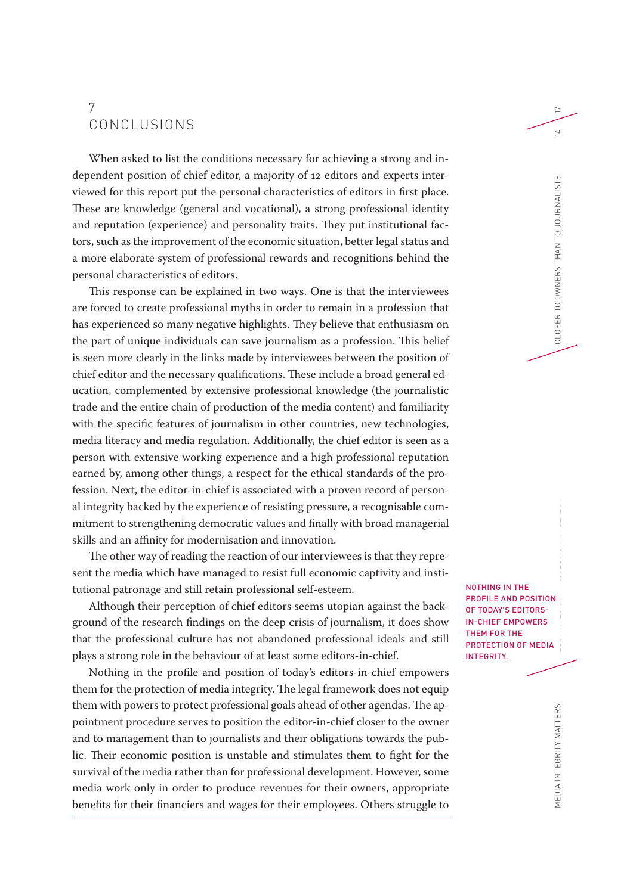### 7 CONCLUSIONS

When asked to list the conditions necessary for achieving a strong and independent position of chief editor, a majority of 12 editors and experts interviewed for this report put the personal characteristics of editors in first place. These are knowledge (general and vocational), a strong professional identity and reputation (experience) and personality traits. They put institutional factors, such as the improvement of the economic situation, better legal status and a more elaborate system of professional rewards and recognitions behind the personal characteristics of editors.

This response can be explained in two ways. One is that the interviewees are forced to create professional myths in order to remain in a profession that has experienced so many negative highlights. They believe that enthusiasm on the part of unique individuals can save journalism as a profession. This belief is seen more clearly in the links made by interviewees between the position of chief editor and the necessary qualifications. These include a broad general education, complemented by extensive professional knowledge (the journalistic trade and the entire chain of production of the media content) and familiarity with the specific features of journalism in other countries, new technologies, media literacy and media regulation. Additionally, the chief editor is seen as a person with extensive working experience and a high professional reputation earned by, among other things, a respect for the ethical standards of the profession. Next, the editor-in-chief is associated with a proven record of personal integrity backed by the experience of resisting pressure, a recognisable commitment to strengthening democratic values and finally with broad managerial skills and an affinity for modernisation and innovation.

The other way of reading the reaction of our interviewees is that they represent the media which have managed to resist full economic captivity and institutional patronage and still retain professional self-esteem.

Although their perception of chief editors seems utopian against the background of the research findings on the deep crisis of journalism, it does show that the professional culture has not abandoned professional ideals and still plays a strong role in the behaviour of at least some editors-in-chief.

Nothing in the profile and position of today's editors-in-chief empowers them for the protection of media integrity. The legal framework does not equip them with powers to protect professional goals ahead of other agendas. The appointment procedure serves to position the editor-in-chief closer to the owner and to management than to journalists and their obligations towards the public. Their economic position is unstable and stimulates them to fight for the survival of the media rather than for professional development. However, some media work only in order to produce revenues for their owners, appropriate benefits for their financiers and wages for their employees. Others struggle to

וכ<br>-<br>וכ NOTHING IN THE PROFILE AND POSITION OF TODAY'S EDITORS-IN-CHIEF EMPOWERS THEM FOR THE PROTECTION OF MEDIA INTEGRITY.

17

EDIA INTEGRITY MATTERS MEDIA INTEGRITY MATTERS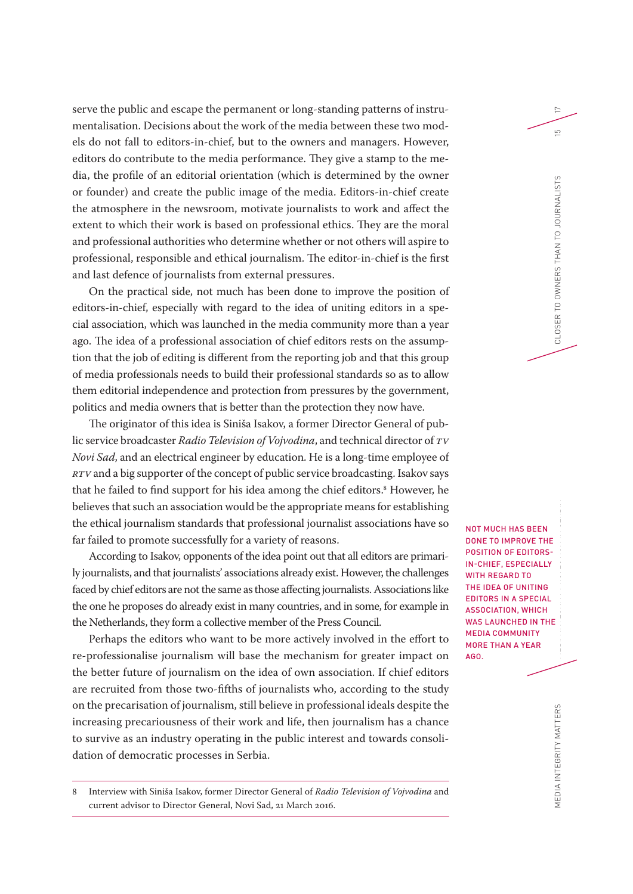serve the public and escape the permanent or long-standing patterns of instrumentalisation. Decisions about the work of the media between these two models do not fall to editors-in-chief, but to the owners and managers. However, editors do contribute to the media performance. They give a stamp to the media, the profile of an editorial orientation (which is determined by the owner or founder) and create the public image of the media. Editors-in-chief create the atmosphere in the newsroom, motivate journalists to work and affect the extent to which their work is based on professional ethics. They are the moral and professional authorities who determine whether or not others will aspire to professional, responsible and ethical journalism. The editor-in-chief is the first and last defence of journalists from external pressures.

On the practical side, not much has been done to improve the position of editors-in-chief, especially with regard to the idea of uniting editors in a special association, which was launched in the media community more than a year ago. The idea of a professional association of chief editors rests on the assumption that the job of editing is different from the reporting job and that this group of media professionals needs to build their professional standards so as to allow them editorial independence and protection from pressures by the government, politics and media owners that is better than the protection they now have.

The originator of this idea is Siniša Isakov, a former Director General of public service broadcaster *Radio Television of Vojvodina*, and technical director of *TV Novi Sad*, and an electrical engineer by education. He is a long-time employee of *RTV* and a big supporter of the concept of public service broadcasting. Isakov says that he failed to find support for his idea among the chief editors.<sup>8</sup> However, he believes that such an association would be the appropriate means for establishing the ethical journalism standards that professional journalist associations have so far failed to promote successfully for a variety of reasons.

According to Isakov, opponents of the idea point out that all editors are primarily journalists, and that journalists' associations already exist. However, the challenges faced by chief editors are not the same as those affecting journalists. Associations like the one he proposes do already exist in many countries, and in some, for example in the Netherlands, they form a collective member of the Press Council.

Perhaps the editors who want to be more actively involved in the effort to re-professionalise journalism will base the mechanism for greater impact on the better future of journalism on the idea of own association. If chief editors are recruited from those two-fifths of journalists who, according to the study on the precarisation of journalism, still believe in professional ideals despite the increasing precariousness of their work and life, then journalism has a chance to survive as an industry operating in the public interest and towards consolidation of democratic processes in Serbia.

8 Interview with Siniša Isakov, former Director General of *Radio Television of Vojvodina* and current advisor to Director General, Novi Sad, 21 March 2016.

G<br>AI<br>TH NOT MUCH HAS BEEN DONE TO IMPROVE THE POSITION OF EDITORS-IN-CHIEF, ESPECIALLY WITH REGARD TO THE IDEA OF UNITING EDITORS IN A SPECIAL ASSOCIATION, WHICH WAS LAUNCHED IN THE MEDIA COMMUNITY MORE THAN A YEAR AGO.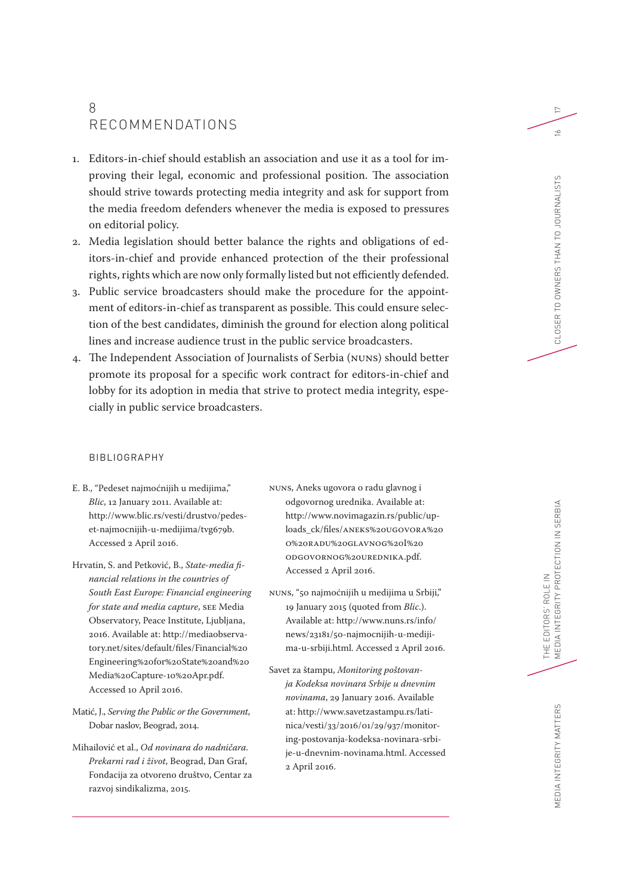### 8 RECOMMENDATIONS

- 1. Editors-in-chief should establish an association and use it as a tool for improving their legal, economic and professional position. The association should strive towards protecting media integrity and ask for support from the media freedom defenders whenever the media is exposed to pressures on editorial policy.
- 2. Media legislation should better balance the rights and obligations of editors-in-chief and provide enhanced protection of the their professional rights, rights which are now only formally listed but not efficiently defended.
- 3. Public service broadcasters should make the procedure for the appointment of editors-in-chief as transparent as possible. This could ensure selection of the best candidates, diminish the ground for election along political lines and increase audience trust in the public service broadcasters.
- 4. The Independent Association of Journalists of Serbia (NUNS) should better promote its proposal for a specific work contract for editors-in-chief and lobby for its adoption in media that strive to protect media integrity, especially in public service broadcasters.

#### BIBLIOGRAPHY

- E. B., "Pedeset najmoćnijih u medijima," *Blic*, 12 January 2011. Available at: [http://www.blic.rs/vesti/drustvo/pedes](http://www.blic.rs/vesti/drustvo/pedeset-najmocnijih-u-medijima/tvg679b)[et-najmocnijih-u-medijima/tvg679b](http://www.blic.rs/vesti/drustvo/pedeset-najmocnijih-u-medijima/tvg679b). Accessed 2 April 2016.
- Hrvatin, S. and Petković, B., *State-media financial relations in the countries of South East Europe: Financial engineering for state and media capture*, SEE Media Observatory, Peace Institute, Ljubljana, 2016. Available at: [http://mediaobserva](http://mediaobservatory.net/sites/default/files/Financial%20Engineering%20for%20State%20and%20Media%20Capture-10%20Apr.pdf)[tory.net/sites/default/files/Financial%20](http://mediaobservatory.net/sites/default/files/Financial%20Engineering%20for%20State%20and%20Media%20Capture-10%20Apr.pdf) [Engineering%20for%20State%20and%20](http://mediaobservatory.net/sites/default/files/Financial%20Engineering%20for%20State%20and%20Media%20Capture-10%20Apr.pdf) [Media%20Capture-10%20Apr.pdf](http://mediaobservatory.net/sites/default/files/Financial%20Engineering%20for%20State%20and%20Media%20Capture-10%20Apr.pdf). Accessed 10 April 2016.
- Matić, J., *Serving the Public or the Government*, Dobar naslov, Beograd, 2014.
- Mihailović et al., *Od novinara do nadničara. Prekarni rad i život*, Beograd, Dan Graf, Fondacija za otvoreno društvo, Centar za razvoj sindikalizma, 2015.
- NUNS, Aneks ugovora o radu glavnog i odgovornog urednika. Available at: [http://www.novimagazin.rs/public/up](http://www.novimagazin.rs/public/uploads_ck/files/ANEKS%20UGOVORA%20O%20RADU%20GLAVNOG%20I%20ODGOVORNOG%20UREDNIKA.pdf)[loads\\_ck/files/ANEKS%20UGOVORA%20](http://www.novimagazin.rs/public/uploads_ck/files/ANEKS%20UGOVORA%20O%20RADU%20GLAVNOG%20I%20ODGOVORNOG%20UREDNIKA.pdf) [O%20RADU%20GLAVNOG%20I%20](http://www.novimagazin.rs/public/uploads_ck/files/ANEKS%20UGOVORA%20O%20RADU%20GLAVNOG%20I%20ODGOVORNOG%20UREDNIKA.pdf) [ODGOVORNOG%20UREDNIKA.pdf.](http://www.novimagazin.rs/public/uploads_ck/files/ANEKS%20UGOVORA%20O%20RADU%20GLAVNOG%20I%20ODGOVORNOG%20UREDNIKA.pdf) Accessed 2 April 2016.
- NUNS, "50 najmoćnijih u medijima u Srbiji," 19 January 2015 (quoted from *Blic*.). Available at: [http://www.nuns.rs/info/](http://www.nuns.rs/info/news/23181/50-najmocnijih-u-medijima-u-srbiji.html) [news/23181/50-najmocnijih-u-mediji](http://www.nuns.rs/info/news/23181/50-najmocnijih-u-medijima-u-srbiji.html)[ma-u-srbiji.html.](http://www.nuns.rs/info/news/23181/50-najmocnijih-u-medijima-u-srbiji.html) Accessed 2 April 2016.
- Savet za štampu, *Monitoring poštovanja Kodeksa novinara Srbije u dnevnim novinama*, 29 January 2016. Available at: [http://www.savetzastampu.rs/lati](http://www.savetzastampu.rs/latinica/vesti/33/2016/01/29/937/monitoring-postovanja-kodeksa-novinara-srbije-u-dnevnim-novinama.html)[nica/vesti/33/2016/01/29/937/monitor](http://www.savetzastampu.rs/latinica/vesti/33/2016/01/29/937/monitoring-postovanja-kodeksa-novinara-srbije-u-dnevnim-novinama.html)[ing-postovanja-kodeksa-novinara-srbi](http://www.savetzastampu.rs/latinica/vesti/33/2016/01/29/937/monitoring-postovanja-kodeksa-novinara-srbije-u-dnevnim-novinama.html)[je-u-dnevnim-novinama.html.](http://www.savetzastampu.rs/latinica/vesti/33/2016/01/29/937/monitoring-postovanja-kodeksa-novinara-srbije-u-dnevnim-novinama.html) Accessed 2 April 2016.

17

MEDIA INTEGRITY MATTERS

MEDIA INTEGRITY MATTERS

THE EDITORS' ROLE IN

THE EDITORS' ROLE IN<br>MEDIA INTEGRITY PROTECTION IN SERBIA